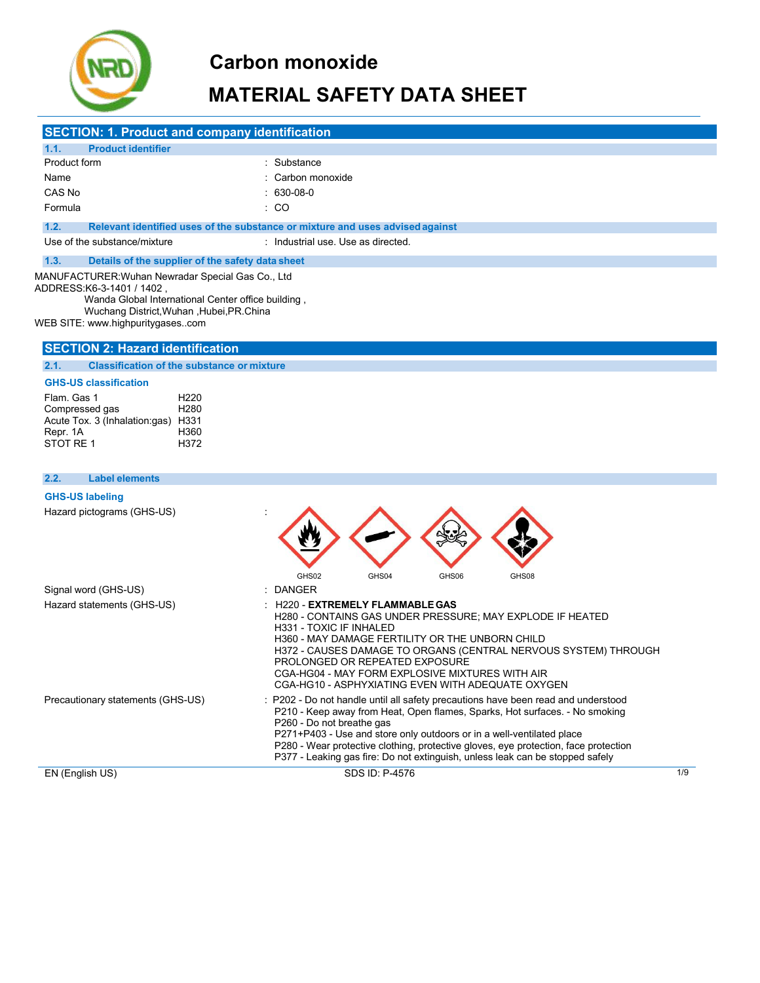

# **MATERIAL SAFETY DATA SHEET**

|                                                       | <b>SECTION: 1. Product and company identification</b>                                                                                                             |                                                      |                                    |                                                                                                                                                                               |       |                                                                                                                |                                                                 |  |
|-------------------------------------------------------|-------------------------------------------------------------------------------------------------------------------------------------------------------------------|------------------------------------------------------|------------------------------------|-------------------------------------------------------------------------------------------------------------------------------------------------------------------------------|-------|----------------------------------------------------------------------------------------------------------------|-----------------------------------------------------------------|--|
| 1.1.                                                  | <b>Product identifier</b>                                                                                                                                         |                                                      |                                    |                                                                                                                                                                               |       |                                                                                                                |                                                                 |  |
| Product form                                          |                                                                                                                                                                   |                                                      | : Substance                        |                                                                                                                                                                               |       |                                                                                                                |                                                                 |  |
| Name                                                  |                                                                                                                                                                   |                                                      | : Carbon monoxide                  |                                                                                                                                                                               |       |                                                                                                                |                                                                 |  |
| CAS No                                                |                                                                                                                                                                   |                                                      | $: 630-08-0$                       |                                                                                                                                                                               |       |                                                                                                                |                                                                 |  |
| Formula                                               |                                                                                                                                                                   |                                                      | : CO                               |                                                                                                                                                                               |       |                                                                                                                |                                                                 |  |
| 1.2.                                                  | Relevant identified uses of the substance or mixture and uses advised against                                                                                     |                                                      |                                    |                                                                                                                                                                               |       |                                                                                                                |                                                                 |  |
|                                                       | Use of the substance/mixture                                                                                                                                      |                                                      | : Industrial use. Use as directed. |                                                                                                                                                                               |       |                                                                                                                |                                                                 |  |
| 1.3.                                                  | Details of the supplier of the safety data sheet                                                                                                                  |                                                      |                                    |                                                                                                                                                                               |       |                                                                                                                |                                                                 |  |
|                                                       | MANUFACTURER: Wuhan Newradar Special Gas Co., Ltd                                                                                                                 |                                                      |                                    |                                                                                                                                                                               |       |                                                                                                                |                                                                 |  |
|                                                       | , ADDRESS:K6-3-1401 / 1402<br>Wanda Global International Center office building,<br>Wuchang District, Wuhan, Hubei, PR. China<br>WEB SITE: www.highpuritygasescom |                                                      |                                    |                                                                                                                                                                               |       |                                                                                                                |                                                                 |  |
|                                                       | <b>SECTION 2: Hazard identification</b>                                                                                                                           |                                                      |                                    |                                                                                                                                                                               |       |                                                                                                                |                                                                 |  |
| 2.1.                                                  | <b>Classification of the substance or mixture</b>                                                                                                                 |                                                      |                                    |                                                                                                                                                                               |       |                                                                                                                |                                                                 |  |
|                                                       | <b>GHS-US classification</b>                                                                                                                                      |                                                      |                                    |                                                                                                                                                                               |       |                                                                                                                |                                                                 |  |
| Flam. Gas 1<br>Compressed gas<br>Repr. 1A<br>STOT RE1 | Acute Tox. 3 (Inhalation:gas) H331                                                                                                                                | H <sub>220</sub><br>H <sub>280</sub><br>H360<br>H372 |                                    |                                                                                                                                                                               |       |                                                                                                                |                                                                 |  |
| 2.2.                                                  | <b>Label elements</b>                                                                                                                                             |                                                      |                                    |                                                                                                                                                                               |       |                                                                                                                |                                                                 |  |
| <b>GHS-US labeling</b>                                |                                                                                                                                                                   |                                                      |                                    |                                                                                                                                                                               |       |                                                                                                                |                                                                 |  |
|                                                       | Hazard pictograms (GHS-US)                                                                                                                                        |                                                      |                                    |                                                                                                                                                                               |       |                                                                                                                |                                                                 |  |
|                                                       |                                                                                                                                                                   |                                                      | GHS02                              | GHS04                                                                                                                                                                         | GHS06 | GHS08                                                                                                          |                                                                 |  |
|                                                       | Signal word (GHS-US)                                                                                                                                              |                                                      | <b>DANGER</b>                      |                                                                                                                                                                               |       |                                                                                                                |                                                                 |  |
|                                                       | Hazard statements (GHS-US)                                                                                                                                        |                                                      | H331 - TOXIC IF INHALED            | <b>H220 - EXTREMELY FLAMMABLE GAS</b><br>H360 - MAY DAMAGE FERTILITY OR THE UNBORN CHILD<br>PROLONGED OR REPEATED EXPOSURE<br>CGA-HG04 - MAY FORM EXPLOSIVE MIXTURES WITH AIR |       | H280 - CONTAINS GAS UNDER PRESSURE; MAY EXPLODE IF HEATED<br>CGA-HG10 - ASPHYXIATING EVEN WITH ADEQUATE OXYGEN | H372 - CAUSES DAMAGE TO ORGANS (CENTRAL NERVOUS SYSTEM) THROUGH |  |

Precautionary statements (GHS-US) : P202 - Do not handle until all safety precautions have been read and understood P210 - Keep away from Heat, Open flames, Sparks, Hot surfaces. - No smoking P260 - Do not breathe gas P271+P403 - Use and store only outdoors or in a well-ventilated place P280 - Wear protective clothing, protective gloves, eye protection, face protection P377 - Leaking gas fire: Do not extinguish, unless leak can be stopped safely

EN (English US) SDS ID: P-4576 1/9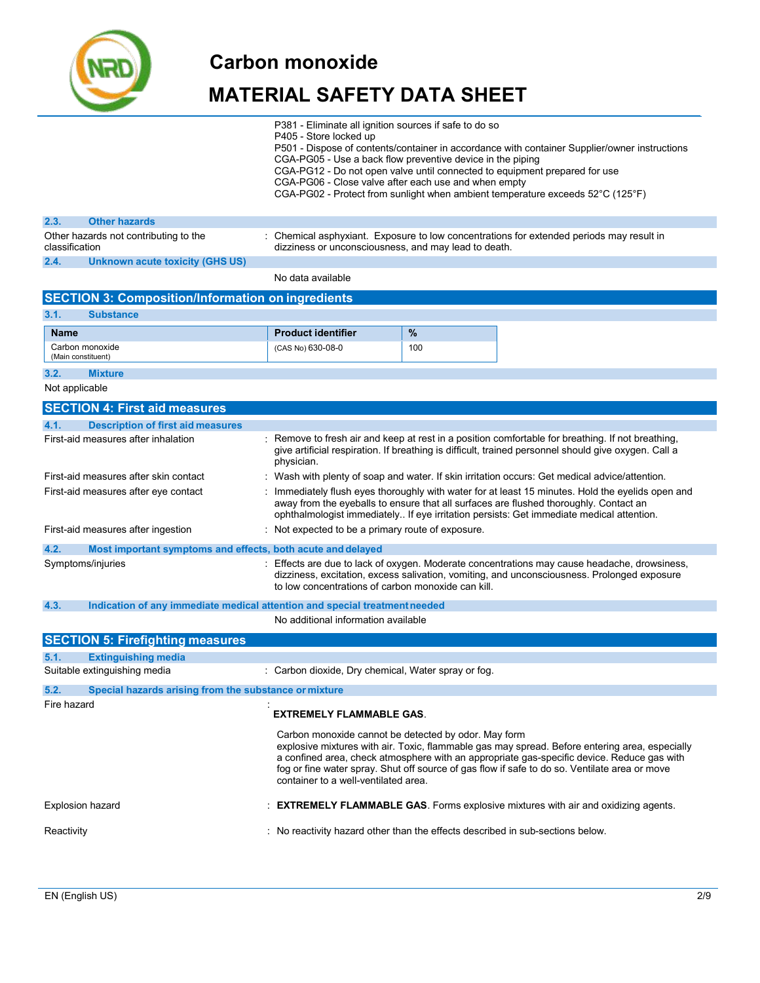

### **MATERIAL SAFETY DATA SHEET**

- P381 Eliminate all ignition sources if safe to do so
- P405 Store locked up
- P501 Dispose of contents/container in accordance with container Supplier/owner instructions
- CGA-PG05 Use a back flow preventive device in the piping
- CGA-PG12 Do not open valve until connected to equipment prepared for use
- CGA-PG06 Close valve after each use and when empty
- CGA-PG02 Protect from sunlight when ambient temperature exceeds 52°C (125°F)

| 2.3.           | <b>Other hazards</b>                  |                                                                                                                                                  |
|----------------|---------------------------------------|--------------------------------------------------------------------------------------------------------------------------------------------------|
| classification | Other hazards not contributing to the | : Chemical asphyxiant. Exposure to low concentrations for extended periods may result in<br>dizziness or unconsciousness, and may lead to death. |
| 2.4.           | Unknown acute toxicity (GHS US)       |                                                                                                                                                  |
|                |                                       |                                                                                                                                                  |

No data available

|                | <b>SECTION 3: Composition/Information on ingredients</b>                   |                                                                                              |     |                                                                                                                                                                                                                                                                                               |
|----------------|----------------------------------------------------------------------------|----------------------------------------------------------------------------------------------|-----|-----------------------------------------------------------------------------------------------------------------------------------------------------------------------------------------------------------------------------------------------------------------------------------------------|
| 3.1.           | <b>Substance</b>                                                           |                                                                                              |     |                                                                                                                                                                                                                                                                                               |
| <b>Name</b>    |                                                                            | <b>Product identifier</b>                                                                    | %   |                                                                                                                                                                                                                                                                                               |
|                | Carbon monoxide<br>(Main constituent)                                      | (CAS No) 630-08-0                                                                            | 100 |                                                                                                                                                                                                                                                                                               |
| 3.2.           | <b>Mixture</b>                                                             |                                                                                              |     |                                                                                                                                                                                                                                                                                               |
| Not applicable |                                                                            |                                                                                              |     |                                                                                                                                                                                                                                                                                               |
|                | <b>SECTION 4: First aid measures</b>                                       |                                                                                              |     |                                                                                                                                                                                                                                                                                               |
| 4.1.           | <b>Description of first aid measures</b>                                   |                                                                                              |     |                                                                                                                                                                                                                                                                                               |
|                | First-aid measures after inhalation                                        | physician.                                                                                   |     | Remove to fresh air and keep at rest in a position comfortable for breathing. If not breathing,<br>give artificial respiration. If breathing is difficult, trained personnel should give oxygen. Call a                                                                                       |
|                | First-aid measures after skin contact                                      |                                                                                              |     | : Wash with plenty of soap and water. If skin irritation occurs: Get medical advice/attention.                                                                                                                                                                                                |
|                | First-aid measures after eye contact                                       |                                                                                              |     | : Immediately flush eyes thoroughly with water for at least 15 minutes. Hold the eyelids open and<br>away from the eyeballs to ensure that all surfaces are flushed thoroughly. Contact an<br>ophthalmologist immediately If eye irritation persists: Get immediate medical attention.        |
|                | First-aid measures after ingestion                                         | : Not expected to be a primary route of exposure.                                            |     |                                                                                                                                                                                                                                                                                               |
| 4.2.           | Most important symptoms and effects, both acute and delayed                |                                                                                              |     |                                                                                                                                                                                                                                                                                               |
|                | Symptoms/injuries                                                          | to low concentrations of carbon monoxide can kill.                                           |     | Effects are due to lack of oxygen. Moderate concentrations may cause headache, drowsiness,<br>dizziness, excitation, excess salivation, vomiting, and unconsciousness. Prolonged exposure                                                                                                     |
| 4.3.           | Indication of any immediate medical attention and special treatment needed |                                                                                              |     |                                                                                                                                                                                                                                                                                               |
|                |                                                                            | No additional information available                                                          |     |                                                                                                                                                                                                                                                                                               |
|                | <b>SECTION 5: Firefighting measures</b>                                    |                                                                                              |     |                                                                                                                                                                                                                                                                                               |
| 5.1.           | <b>Extinguishing media</b>                                                 |                                                                                              |     |                                                                                                                                                                                                                                                                                               |
|                | Suitable extinguishing media                                               | : Carbon dioxide, Dry chemical, Water spray or fog.                                          |     |                                                                                                                                                                                                                                                                                               |
| 5.2.           | Special hazards arising from the substance or mixture                      |                                                                                              |     |                                                                                                                                                                                                                                                                                               |
| Fire hazard    |                                                                            | <b>EXTREMELY FLAMMABLE GAS.</b>                                                              |     |                                                                                                                                                                                                                                                                                               |
|                |                                                                            | Carbon monoxide cannot be detected by odor. May form<br>container to a well-ventilated area. |     | explosive mixtures with air. Toxic, flammable gas may spread. Before entering area, especially<br>a confined area, check atmosphere with an appropriate gas-specific device. Reduce gas with<br>fog or fine water spray. Shut off source of gas flow if safe to do so. Ventilate area or move |
|                | <b>Explosion hazard</b>                                                    |                                                                                              |     | <b>EXTREMELY FLAMMABLE GAS.</b> Forms explosive mixtures with air and oxidizing agents.                                                                                                                                                                                                       |
| Reactivity     |                                                                            |                                                                                              |     | : No reactivity hazard other than the effects described in sub-sections below.                                                                                                                                                                                                                |
|                |                                                                            |                                                                                              |     |                                                                                                                                                                                                                                                                                               |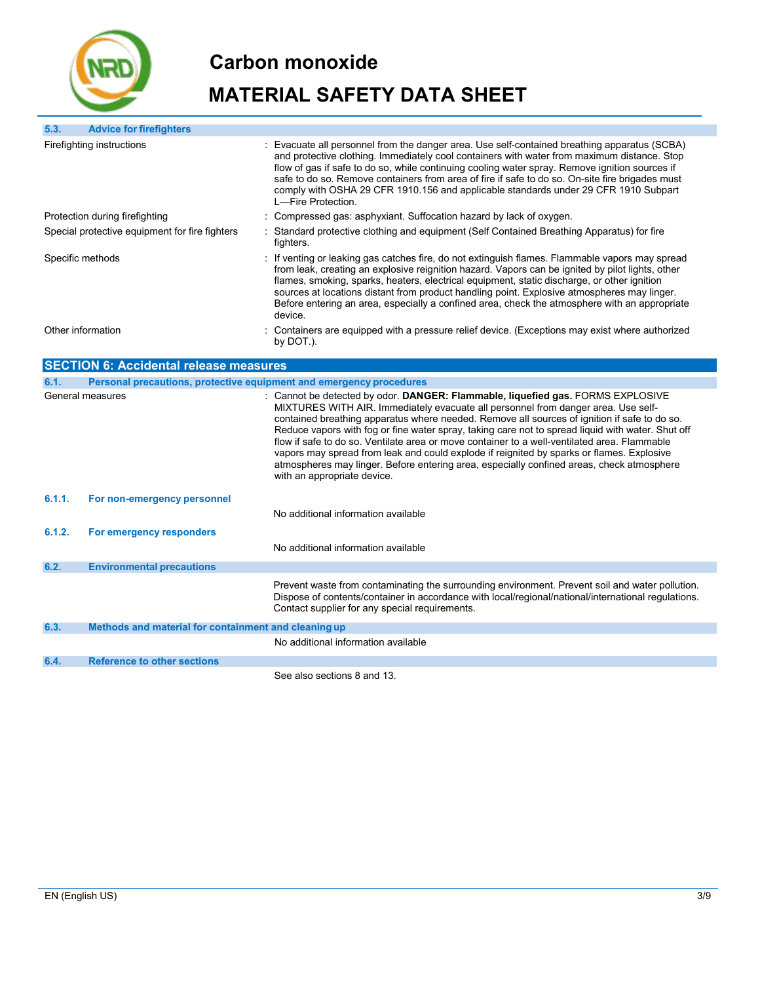

| 5.3.             | <b>Advice for firefighters</b>                       |                                                                                                                                                                                                                                                                                                                                                                                                                                                                                                                                                                                                                                                                                                  |  |
|------------------|------------------------------------------------------|--------------------------------------------------------------------------------------------------------------------------------------------------------------------------------------------------------------------------------------------------------------------------------------------------------------------------------------------------------------------------------------------------------------------------------------------------------------------------------------------------------------------------------------------------------------------------------------------------------------------------------------------------------------------------------------------------|--|
|                  | Firefighting instructions                            | Evacuate all personnel from the danger area. Use self-contained breathing apparatus (SCBA)<br>and protective clothing. Immediately cool containers with water from maximum distance. Stop<br>flow of gas if safe to do so, while continuing cooling water spray. Remove ignition sources if<br>safe to do so. Remove containers from area of fire if safe to do so. On-site fire brigades must<br>comply with OSHA 29 CFR 1910.156 and applicable standards under 29 CFR 1910 Subpart<br>L-Fire Protection.                                                                                                                                                                                      |  |
|                  | Protection during firefighting                       | : Compressed gas: asphyxiant. Suffocation hazard by lack of oxygen.                                                                                                                                                                                                                                                                                                                                                                                                                                                                                                                                                                                                                              |  |
|                  | Special protective equipment for fire fighters       | : Standard protective clothing and equipment (Self Contained Breathing Apparatus) for fire<br>fighters.                                                                                                                                                                                                                                                                                                                                                                                                                                                                                                                                                                                          |  |
| Specific methods |                                                      | If venting or leaking gas catches fire, do not extinguish flames. Flammable vapors may spread<br>from leak, creating an explosive reignition hazard. Vapors can be ignited by pilot lights, other<br>flames, smoking, sparks, heaters, electrical equipment, static discharge, or other ignition<br>sources at locations distant from product handling point. Explosive atmospheres may linger.<br>Before entering an area, especially a confined area, check the atmosphere with an appropriate<br>device.                                                                                                                                                                                      |  |
|                  | Other information                                    | : Containers are equipped with a pressure relief device. (Exceptions may exist where authorized<br>by DOT.).                                                                                                                                                                                                                                                                                                                                                                                                                                                                                                                                                                                     |  |
|                  | <b>SECTION 6: Accidental release measures</b>        |                                                                                                                                                                                                                                                                                                                                                                                                                                                                                                                                                                                                                                                                                                  |  |
| 6.1.             |                                                      | Personal precautions, protective equipment and emergency procedures                                                                                                                                                                                                                                                                                                                                                                                                                                                                                                                                                                                                                              |  |
|                  | General measures                                     | Cannot be detected by odor. DANGER: Flammable, liquefied gas. FORMS EXPLOSIVE<br>MIXTURES WITH AIR. Immediately evacuate all personnel from danger area. Use self-<br>contained breathing apparatus where needed. Remove all sources of ignition if safe to do so.<br>Reduce vapors with fog or fine water spray, taking care not to spread liquid with water. Shut off<br>flow if safe to do so. Ventilate area or move container to a well-ventilated area. Flammable<br>vapors may spread from leak and could explode if reignited by sparks or flames. Explosive<br>atmospheres may linger. Before entering area, especially confined areas, check atmosphere<br>with an appropriate device. |  |
| 6.1.1.           | For non-emergency personnel                          | No additional information available                                                                                                                                                                                                                                                                                                                                                                                                                                                                                                                                                                                                                                                              |  |
| 6.1.2.           | For emergency responders                             | No additional information available                                                                                                                                                                                                                                                                                                                                                                                                                                                                                                                                                                                                                                                              |  |
| 6.2.             | <b>Environmental precautions</b>                     |                                                                                                                                                                                                                                                                                                                                                                                                                                                                                                                                                                                                                                                                                                  |  |
|                  |                                                      | Prevent waste from contaminating the surrounding environment. Prevent soil and water pollution.<br>Dispose of contents/container in accordance with local/regional/national/international regulations.<br>Contact supplier for any special requirements.                                                                                                                                                                                                                                                                                                                                                                                                                                         |  |
| 6.3.             | Methods and material for containment and cleaning up |                                                                                                                                                                                                                                                                                                                                                                                                                                                                                                                                                                                                                                                                                                  |  |
|                  |                                                      | No additional information available                                                                                                                                                                                                                                                                                                                                                                                                                                                                                                                                                                                                                                                              |  |
| 6.4.             | <b>Reference to other sections</b>                   |                                                                                                                                                                                                                                                                                                                                                                                                                                                                                                                                                                                                                                                                                                  |  |
|                  |                                                      | See also sections 8 and 13.                                                                                                                                                                                                                                                                                                                                                                                                                                                                                                                                                                                                                                                                      |  |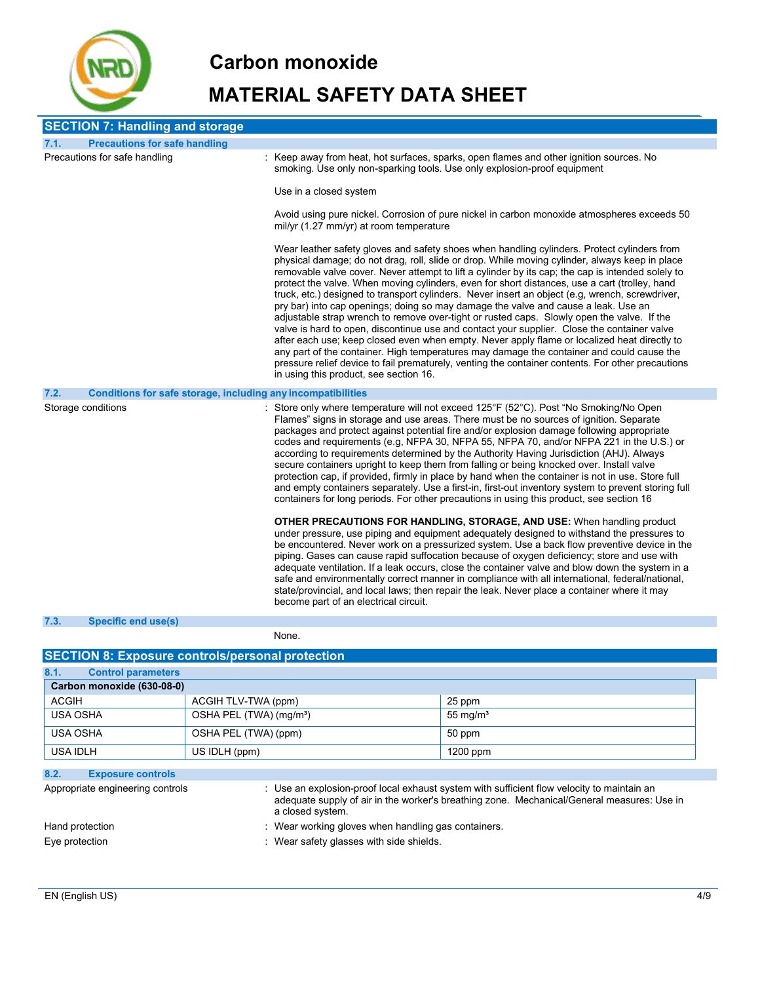

# **MATERIAL SAFETY DATA SHEET**

| <b>SECTION 7: Handling and storage</b> |                                                              |                                                                                                                                                                                                                                                                                                                                                                                                                                                                                                                                                                                                                                                                                                                                                                                                                                                                                                                                                                                                                                                                                                                                       |
|----------------------------------------|--------------------------------------------------------------|---------------------------------------------------------------------------------------------------------------------------------------------------------------------------------------------------------------------------------------------------------------------------------------------------------------------------------------------------------------------------------------------------------------------------------------------------------------------------------------------------------------------------------------------------------------------------------------------------------------------------------------------------------------------------------------------------------------------------------------------------------------------------------------------------------------------------------------------------------------------------------------------------------------------------------------------------------------------------------------------------------------------------------------------------------------------------------------------------------------------------------------|
| 7.1.                                   | <b>Precautions for safe handling</b>                         |                                                                                                                                                                                                                                                                                                                                                                                                                                                                                                                                                                                                                                                                                                                                                                                                                                                                                                                                                                                                                                                                                                                                       |
| Precautions for safe handling          |                                                              | : Keep away from heat, hot surfaces, sparks, open flames and other ignition sources. No<br>smoking. Use only non-sparking tools. Use only explosion-proof equipment                                                                                                                                                                                                                                                                                                                                                                                                                                                                                                                                                                                                                                                                                                                                                                                                                                                                                                                                                                   |
|                                        |                                                              | Use in a closed system                                                                                                                                                                                                                                                                                                                                                                                                                                                                                                                                                                                                                                                                                                                                                                                                                                                                                                                                                                                                                                                                                                                |
|                                        |                                                              | Avoid using pure nickel. Corrosion of pure nickel in carbon monoxide atmospheres exceeds 50<br>mil/yr (1.27 mm/yr) at room temperature                                                                                                                                                                                                                                                                                                                                                                                                                                                                                                                                                                                                                                                                                                                                                                                                                                                                                                                                                                                                |
|                                        |                                                              | Wear leather safety gloves and safety shoes when handling cylinders. Protect cylinders from<br>physical damage; do not drag, roll, slide or drop. While moving cylinder, always keep in place<br>removable valve cover. Never attempt to lift a cylinder by its cap; the cap is intended solely to<br>protect the valve. When moving cylinders, even for short distances, use a cart (trolley, hand<br>truck, etc.) designed to transport cylinders. Never insert an object (e.g, wrench, screwdriver,<br>pry bar) into cap openings; doing so may damage the valve and cause a leak. Use an<br>adjustable strap wrench to remove over-tight or rusted caps. Slowly open the valve. If the<br>valve is hard to open, discontinue use and contact your supplier. Close the container valve<br>after each use; keep closed even when empty. Never apply flame or localized heat directly to<br>any part of the container. High temperatures may damage the container and could cause the<br>pressure relief device to fail prematurely, venting the container contents. For other precautions<br>in using this product, see section 16. |
| 7.2.                                   | Conditions for safe storage, including any incompatibilities |                                                                                                                                                                                                                                                                                                                                                                                                                                                                                                                                                                                                                                                                                                                                                                                                                                                                                                                                                                                                                                                                                                                                       |
| Storage conditions                     |                                                              | Store only where temperature will not exceed 125°F (52°C). Post "No Smoking/No Open<br>Flames" signs in storage and use areas. There must be no sources of ignition. Separate<br>packages and protect against potential fire and/or explosion damage following appropriate<br>codes and requirements (e.g. NFPA 30, NFPA 55, NFPA 70, and/or NFPA 221 in the U.S.) or<br>according to requirements determined by the Authority Having Jurisdiction (AHJ). Always<br>secure containers upright to keep them from falling or being knocked over. Install valve<br>protection cap, if provided, firmly in place by hand when the container is not in use. Store full<br>and empty containers separately. Use a first-in, first-out inventory system to prevent storing full<br>containers for long periods. For other precautions in using this product, see section 16                                                                                                                                                                                                                                                                  |
|                                        |                                                              | <b>OTHER PRECAUTIONS FOR HANDLING, STORAGE, AND USE:</b> When handling product<br>under pressure, use piping and equipment adequately designed to withstand the pressures to<br>be encountered. Never work on a pressurized system. Use a back flow preventive device in the<br>piping. Gases can cause rapid suffocation because of oxygen deficiency; store and use with<br>adequate ventilation. If a leak occurs, close the container valve and blow down the system in a<br>safe and environmentally correct manner in compliance with all international, federal/national,<br>state/provincial, and local laws; then repair the leak. Never place a container where it may<br>become part of an electrical circuit.                                                                                                                                                                                                                                                                                                                                                                                                             |
| 7.3.<br>Specific end use(s)            |                                                              |                                                                                                                                                                                                                                                                                                                                                                                                                                                                                                                                                                                                                                                                                                                                                                                                                                                                                                                                                                                                                                                                                                                                       |

None.

| <b>SECTION 8: Exposure controls/personal protection</b> |                                     |             |  |  |  |
|---------------------------------------------------------|-------------------------------------|-------------|--|--|--|
| 8.1.<br><b>Control parameters</b>                       |                                     |             |  |  |  |
| Carbon monoxide (630-08-0)                              |                                     |             |  |  |  |
| <b>ACGIH</b>                                            | ACGIH TLV-TWA (ppm)                 | 25 ppm      |  |  |  |
| <b>USA OSHA</b>                                         | OSHA PEL (TWA) (mg/m <sup>3</sup> ) | 55 mg/ $m3$ |  |  |  |
| <b>USA OSHA</b>                                         | OSHA PEL (TWA) (ppm)<br>50 ppm      |             |  |  |  |
| <b>USA IDLH</b>                                         | US IDLH (ppm)<br>$1200$ ppm         |             |  |  |  |
| 8.2.<br><b>Exposure controls</b>                        |                                     |             |  |  |  |

| Appropriate engineering controls | Use an explosion-proof local exhaust system with sufficient flow velocity to maintain an   |
|----------------------------------|--------------------------------------------------------------------------------------------|
|                                  | adequate supply of air in the worker's breathing zone. Mechanical/General measures: Use in |
|                                  | a closed system.                                                                           |
| Hand protection                  | : Wear working gloves when handling gas containers.                                        |
| Eve protection                   | Wear safety glasses with side shields.                                                     |
|                                  |                                                                                            |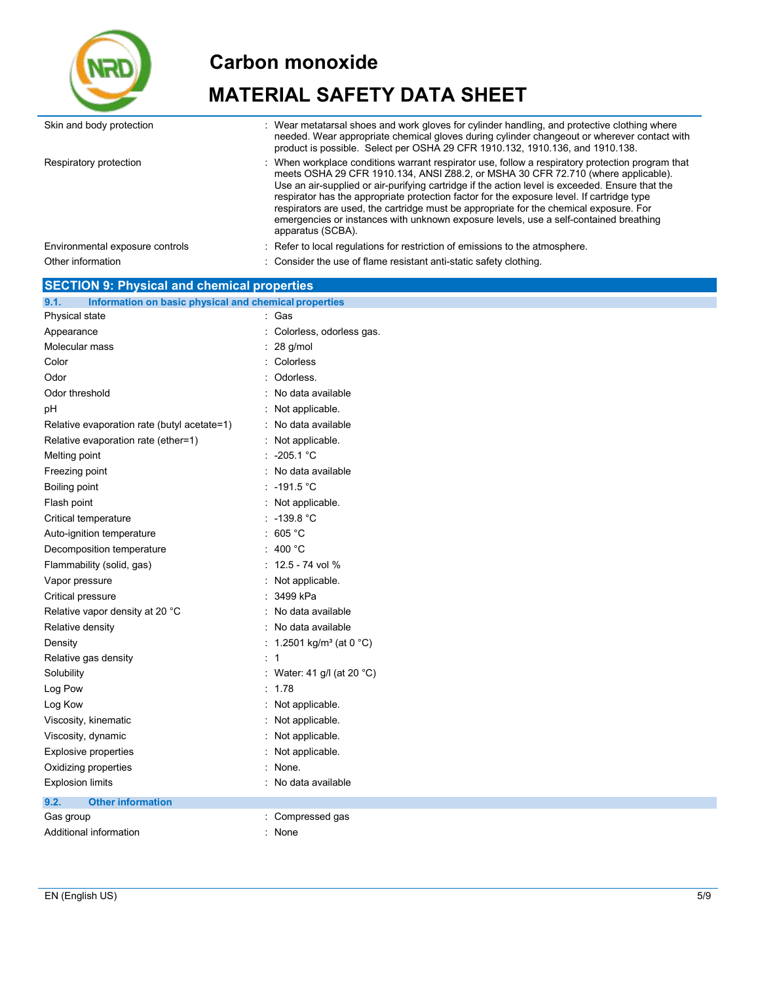

| Skin and body protection                                      | : Wear metatarsal shoes and work gloves for cylinder handling, and protective clothing where<br>needed. Wear appropriate chemical gloves during cylinder changeout or wherever contact with<br>product is possible. Select per OSHA 29 CFR 1910.132, 1910.136, and 1910.138.                                                                                                                                                                                                                                                                                                                 |
|---------------------------------------------------------------|----------------------------------------------------------------------------------------------------------------------------------------------------------------------------------------------------------------------------------------------------------------------------------------------------------------------------------------------------------------------------------------------------------------------------------------------------------------------------------------------------------------------------------------------------------------------------------------------|
| Respiratory protection                                        | When workplace conditions warrant respirator use, follow a respiratory protection program that<br>meets OSHA 29 CFR 1910.134, ANSI Z88.2, or MSHA 30 CFR 72.710 (where applicable).<br>Use an air-supplied or air-purifying cartridge if the action level is exceeded. Ensure that the<br>respirator has the appropriate protection factor for the exposure level. If cartridge type<br>respirators are used, the cartridge must be appropriate for the chemical exposure. For<br>emergencies or instances with unknown exposure levels, use a self-contained breathing<br>apparatus (SCBA). |
| Environmental exposure controls                               | : Refer to local regulations for restriction of emissions to the atmosphere.                                                                                                                                                                                                                                                                                                                                                                                                                                                                                                                 |
| Other information                                             | : Consider the use of flame resistant anti-static safety clothing.                                                                                                                                                                                                                                                                                                                                                                                                                                                                                                                           |
| <b>SECTION 9: Physical and chemical properties</b>            |                                                                                                                                                                                                                                                                                                                                                                                                                                                                                                                                                                                              |
| 9.1.<br>Information on basic physical and chemical properties |                                                                                                                                                                                                                                                                                                                                                                                                                                                                                                                                                                                              |
| Physical state                                                | : Gas                                                                                                                                                                                                                                                                                                                                                                                                                                                                                                                                                                                        |
| Appearance                                                    | Colorless, odorless gas.                                                                                                                                                                                                                                                                                                                                                                                                                                                                                                                                                                     |
| Molecular mass                                                | 28 g/mol                                                                                                                                                                                                                                                                                                                                                                                                                                                                                                                                                                                     |
| Color                                                         | Colorless                                                                                                                                                                                                                                                                                                                                                                                                                                                                                                                                                                                    |
| Odor                                                          | Odorless.                                                                                                                                                                                                                                                                                                                                                                                                                                                                                                                                                                                    |
| Odor threshold                                                | No data available                                                                                                                                                                                                                                                                                                                                                                                                                                                                                                                                                                            |
| рH                                                            | Not applicable.                                                                                                                                                                                                                                                                                                                                                                                                                                                                                                                                                                              |
| Relative evaporation rate (butyl acetate=1)                   | : No data available                                                                                                                                                                                                                                                                                                                                                                                                                                                                                                                                                                          |
| Relative evaporation rate (ether=1)                           | : Not applicable.                                                                                                                                                                                                                                                                                                                                                                                                                                                                                                                                                                            |
| Melting point                                                 | : $-205.1$ °C                                                                                                                                                                                                                                                                                                                                                                                                                                                                                                                                                                                |
| Freezing point                                                | No data available                                                                                                                                                                                                                                                                                                                                                                                                                                                                                                                                                                            |
| Boiling point                                                 | $\therefore$ -191.5 °C                                                                                                                                                                                                                                                                                                                                                                                                                                                                                                                                                                       |
| Flash point                                                   | : Not applicable.                                                                                                                                                                                                                                                                                                                                                                                                                                                                                                                                                                            |
| Critical temperature                                          | $: -139.8 °C$                                                                                                                                                                                                                                                                                                                                                                                                                                                                                                                                                                                |
| Auto-ignition temperature                                     | : 605 $^{\circ}$ C                                                                                                                                                                                                                                                                                                                                                                                                                                                                                                                                                                           |
| Decomposition temperature                                     | 400 °C                                                                                                                                                                                                                                                                                                                                                                                                                                                                                                                                                                                       |
| Flammability (solid, gas)                                     | $: 12.5 - 74$ vol %                                                                                                                                                                                                                                                                                                                                                                                                                                                                                                                                                                          |
| Vapor pressure                                                | : Not applicable.                                                                                                                                                                                                                                                                                                                                                                                                                                                                                                                                                                            |
| Critical pressure                                             | 3499 kPa                                                                                                                                                                                                                                                                                                                                                                                                                                                                                                                                                                                     |
| Relative vapor density at 20 °C                               | : No data available                                                                                                                                                                                                                                                                                                                                                                                                                                                                                                                                                                          |
| Relative density                                              | : No data available                                                                                                                                                                                                                                                                                                                                                                                                                                                                                                                                                                          |
| Density                                                       | : 1.2501 kg/m <sup>3</sup> (at 0 °C)                                                                                                                                                                                                                                                                                                                                                                                                                                                                                                                                                         |
| Relative gas density                                          | : 1                                                                                                                                                                                                                                                                                                                                                                                                                                                                                                                                                                                          |
| Solubility                                                    | Water: 41 g/l (at 20 °C)                                                                                                                                                                                                                                                                                                                                                                                                                                                                                                                                                                     |
| Log Pow                                                       | : $1.78$                                                                                                                                                                                                                                                                                                                                                                                                                                                                                                                                                                                     |
| Log Kow                                                       | : Not applicable.                                                                                                                                                                                                                                                                                                                                                                                                                                                                                                                                                                            |
| Viscosity, kinematic                                          | : Not applicable.                                                                                                                                                                                                                                                                                                                                                                                                                                                                                                                                                                            |
| Viscosity, dynamic                                            | Not applicable.                                                                                                                                                                                                                                                                                                                                                                                                                                                                                                                                                                              |
| <b>Explosive properties</b>                                   | Not applicable.                                                                                                                                                                                                                                                                                                                                                                                                                                                                                                                                                                              |
|                                                               |                                                                                                                                                                                                                                                                                                                                                                                                                                                                                                                                                                                              |
| Oxidizing properties                                          | : None.                                                                                                                                                                                                                                                                                                                                                                                                                                                                                                                                                                                      |
| <b>Explosion limits</b>                                       | : No data available                                                                                                                                                                                                                                                                                                                                                                                                                                                                                                                                                                          |
| <b>Other information</b><br>9.2.                              |                                                                                                                                                                                                                                                                                                                                                                                                                                                                                                                                                                                              |
| Gas group                                                     | Compressed gas                                                                                                                                                                                                                                                                                                                                                                                                                                                                                                                                                                               |
| Additional information                                        | : None                                                                                                                                                                                                                                                                                                                                                                                                                                                                                                                                                                                       |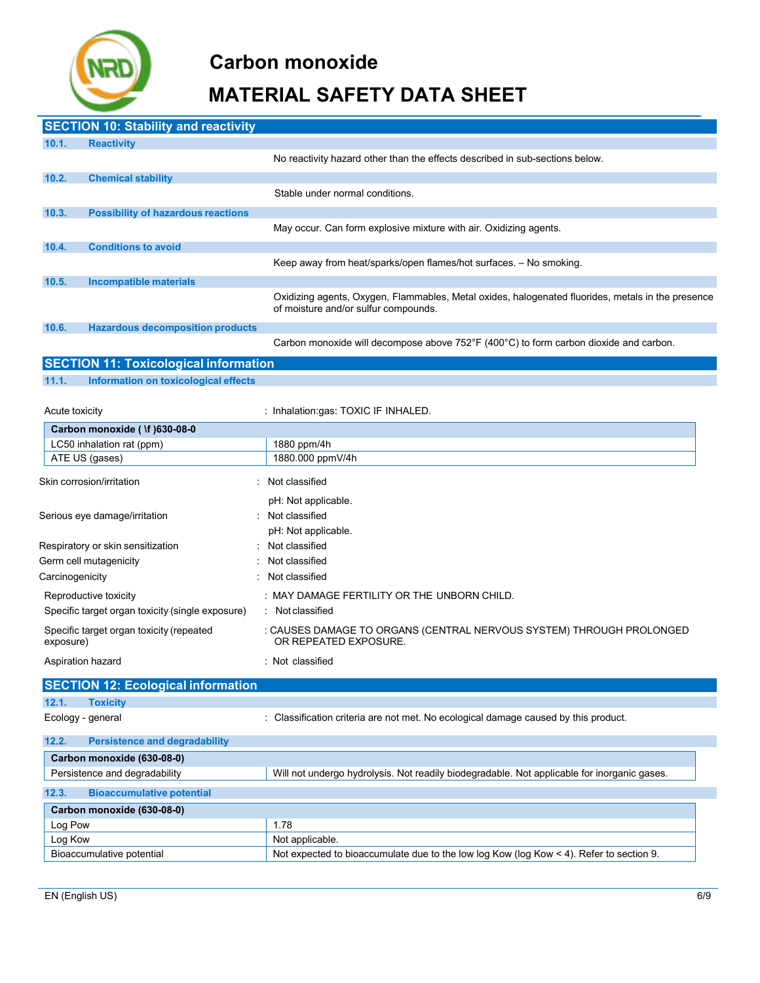

|                 | <b>SECTION 10: Stability and reactivity</b>      |                                                                                                                                           |
|-----------------|--------------------------------------------------|-------------------------------------------------------------------------------------------------------------------------------------------|
| 10.1.           | <b>Reactivity</b>                                |                                                                                                                                           |
|                 |                                                  | No reactivity hazard other than the effects described in sub-sections below.                                                              |
| 10.2.           | <b>Chemical stability</b>                        |                                                                                                                                           |
|                 |                                                  | Stable under normal conditions.                                                                                                           |
| 10.3.           | <b>Possibility of hazardous reactions</b>        |                                                                                                                                           |
|                 |                                                  | May occur. Can form explosive mixture with air. Oxidizing agents.                                                                         |
| 10.4.           | <b>Conditions to avoid</b>                       |                                                                                                                                           |
|                 |                                                  | Keep away from heat/sparks/open flames/hot surfaces. - No smoking.                                                                        |
| 10.5.           | <b>Incompatible materials</b>                    |                                                                                                                                           |
|                 |                                                  | Oxidizing agents, Oxygen, Flammables, Metal oxides, halogenated fluorides, metals in the presence<br>of moisture and/or sulfur compounds. |
| 10.6.           | <b>Hazardous decomposition products</b>          |                                                                                                                                           |
|                 |                                                  | Carbon monoxide will decompose above 752°F (400°C) to form carbon dioxide and carbon.                                                     |
|                 | <b>SECTION 11: Toxicological information</b>     |                                                                                                                                           |
| 11.1.           | Information on toxicological effects             |                                                                                                                                           |
|                 |                                                  |                                                                                                                                           |
| Acute toxicity  |                                                  | : Inhalation:gas: TOXIC IF INHALED.                                                                                                       |
|                 | Carbon monoxide ( \f )630-08-0                   |                                                                                                                                           |
|                 | LC50 inhalation rat (ppm)                        | 1880 ppm/4h                                                                                                                               |
|                 | ATE US (gases)                                   | 1880.000 ppmV/4h                                                                                                                          |
|                 | Skin corrosion/irritation                        | : Not classified                                                                                                                          |
|                 |                                                  | pH: Not applicable.                                                                                                                       |
|                 | Serious eye damage/irritation                    | Not classified                                                                                                                            |
|                 |                                                  | pH: Not applicable.                                                                                                                       |
|                 | Respiratory or skin sensitization                | Not classified                                                                                                                            |
|                 | Germ cell mutagenicity                           | : Not classified                                                                                                                          |
| Carcinogenicity |                                                  | Not classified                                                                                                                            |
|                 | Reproductive toxicity                            | : MAY DAMAGE FERTILITY OR THE UNBORN CHILD.                                                                                               |
|                 | Specific target organ toxicity (single exposure) | : Not classified                                                                                                                          |
| exposure)       | Specific target organ toxicity (repeated         | : CAUSES DAMAGE TO ORGANS (CENTRAL NERVOUS SYSTEM) THROUGH PROLONGED<br>OR REPEATED EXPOSURE.                                             |
|                 | Aspiration hazard                                | : Not classified                                                                                                                          |
|                 | <b>SECTION 12: Ecological information</b>        |                                                                                                                                           |
| 12.1.           | <b>Toxicity</b>                                  |                                                                                                                                           |
|                 | Ecology - general                                | : Classification criteria are not met. No ecological damage caused by this product.                                                       |
| 12.2.           | <b>Persistence and degradability</b>             |                                                                                                                                           |
|                 | Carbon monoxide (630-08-0)                       |                                                                                                                                           |
|                 |                                                  |                                                                                                                                           |

| Persistence and degradability             | Will not undergo hydrolysis. Not readily biodegradable. Not applicable for inorganic gases.   |
|-------------------------------------------|-----------------------------------------------------------------------------------------------|
| <b>Bioaccumulative potential</b><br>12.3. |                                                                                               |
| Carbon monoxide (630-08-0)                |                                                                                               |
| Log Pow                                   | 1.78                                                                                          |
| Log Kow                                   | Not applicable.                                                                               |
| Bioaccumulative potential                 | Not expected to bioaccumulate due to the low log Kow (log Kow $\leq 4$ ). Refer to section 9. |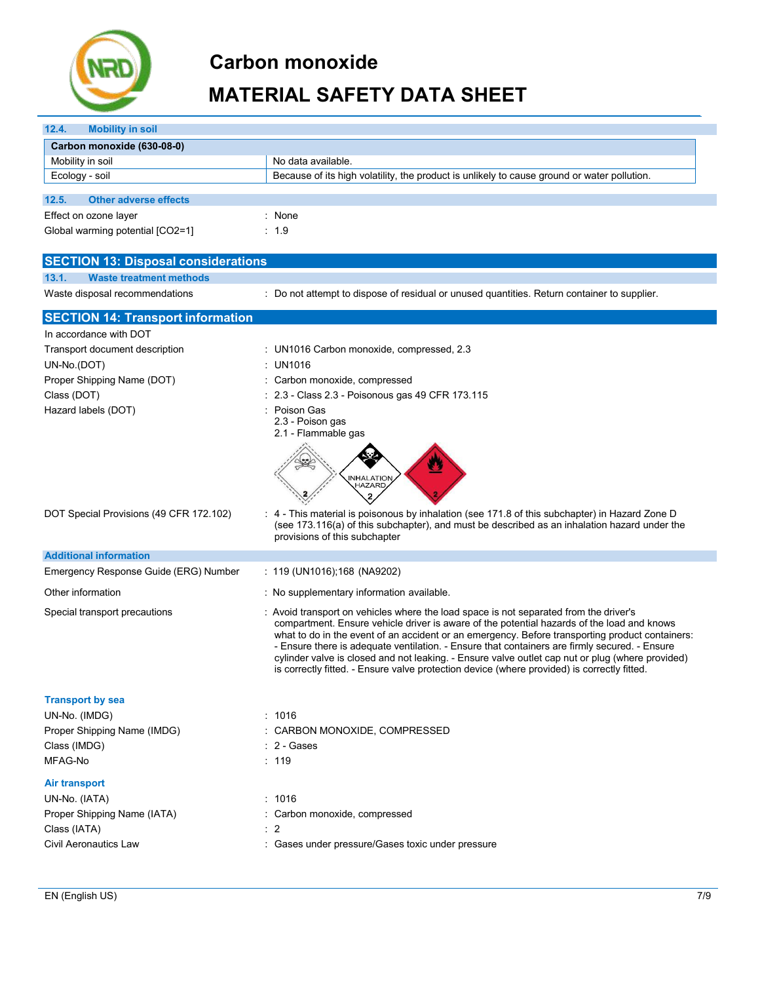

| 12.4.<br><b>Mobility in soil</b>           |                                                                                                                                                                                                  |
|--------------------------------------------|--------------------------------------------------------------------------------------------------------------------------------------------------------------------------------------------------|
| Carbon monoxide (630-08-0)                 |                                                                                                                                                                                                  |
| Mobility in soil                           | No data available.                                                                                                                                                                               |
| Ecology - soil                             | Because of its high volatility, the product is unlikely to cause ground or water pollution.                                                                                                      |
| <b>Other adverse effects</b>               |                                                                                                                                                                                                  |
| 12.5.                                      |                                                                                                                                                                                                  |
| Effect on ozone layer                      | : None                                                                                                                                                                                           |
| Global warming potential [CO2=1]           | : 1.9                                                                                                                                                                                            |
| <b>SECTION 13: Disposal considerations</b> |                                                                                                                                                                                                  |
| 13.1.<br><b>Waste treatment methods</b>    |                                                                                                                                                                                                  |
| Waste disposal recommendations             | : Do not attempt to dispose of residual or unused quantities. Return container to supplier.                                                                                                      |
| <b>SECTION 14: Transport information</b>   |                                                                                                                                                                                                  |
| In accordance with DOT                     |                                                                                                                                                                                                  |
| Transport document description             | : UN1016 Carbon monoxide, compressed, 2.3                                                                                                                                                        |
| UN-No.(DOT)                                | : UN1016                                                                                                                                                                                         |
| Proper Shipping Name (DOT)                 | : Carbon monoxide, compressed                                                                                                                                                                    |
| Class (DOT)                                | : 2.3 - Class 2.3 - Poisonous gas 49 CFR 173.115                                                                                                                                                 |
| Hazard labels (DOT)                        | : Poison Gas                                                                                                                                                                                     |
|                                            | 2.3 - Poison gas                                                                                                                                                                                 |
|                                            | 2.1 - Flammable gas                                                                                                                                                                              |
|                                            |                                                                                                                                                                                                  |
|                                            |                                                                                                                                                                                                  |
|                                            | <b>INHALATION</b><br>HAZARD                                                                                                                                                                      |
|                                            |                                                                                                                                                                                                  |
| DOT Special Provisions (49 CFR 172.102)    | : 4 - This material is poisonous by inhalation (see 171.8 of this subchapter) in Hazard Zone D                                                                                                   |
|                                            | (see 173.116(a) of this subchapter), and must be described as an inhalation hazard under the<br>provisions of this subchapter                                                                    |
|                                            |                                                                                                                                                                                                  |
| <b>Additional information</b>              |                                                                                                                                                                                                  |
| Emergency Response Guide (ERG) Number      | $: 119$ (UN1016); 168 (NA9202)                                                                                                                                                                   |
| Other information                          | : No supplementary information available.                                                                                                                                                        |
| Special transport precautions              | : Avoid transport on vehicles where the load space is not separated from the driver's                                                                                                            |
|                                            | compartment. Ensure vehicle driver is aware of the potential hazards of the load and knows                                                                                                       |
|                                            | what to do in the event of an accident or an emergency. Before transporting product containers:<br>- Ensure there is adequate ventilation. - Ensure that containers are firmly secured. - Ensure |
|                                            | cylinder valve is closed and not leaking. - Ensure valve outlet cap nut or plug (where provided)                                                                                                 |
|                                            | is correctly fitted. - Ensure valve protection device (where provided) is correctly fitted.                                                                                                      |
| <b>Transport by sea</b>                    |                                                                                                                                                                                                  |
| UN-No. (IMDG)                              | : 1016                                                                                                                                                                                           |
| Proper Shipping Name (IMDG)                | : CARBON MONOXIDE, COMPRESSED                                                                                                                                                                    |
| Class (IMDG)                               | $: 2 - \text{Gases}$                                                                                                                                                                             |
| MFAG-No                                    | : 119                                                                                                                                                                                            |
|                                            |                                                                                                                                                                                                  |
| <b>Air transport</b>                       |                                                                                                                                                                                                  |
| UN-No. (IATA)                              | : 1016                                                                                                                                                                                           |
| Proper Shipping Name (IATA)                | : Carbon monoxide, compressed                                                                                                                                                                    |
| Class (IATA)                               | $\therefore$ 2                                                                                                                                                                                   |
| Civil Aeronautics Law                      | : Gases under pressure/Gases toxic under pressure                                                                                                                                                |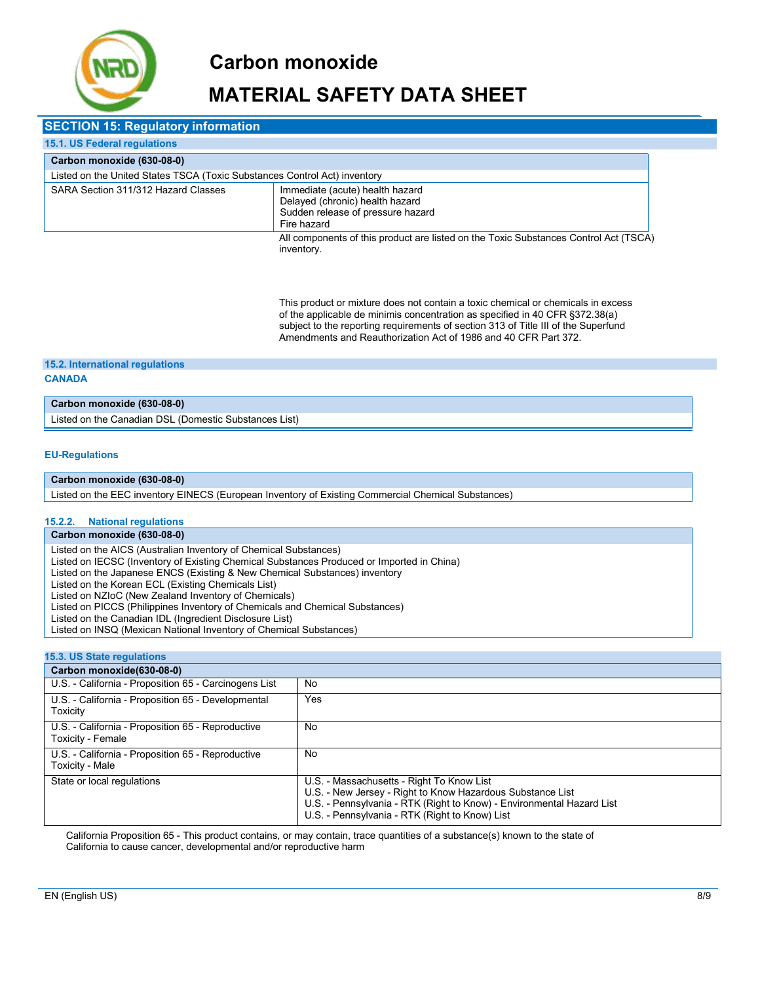

### **MATERIAL SAFETY DATA SHEET**

| <b>SECTION 15: Regulatory information</b>                                                                                                                     |                                                                                                    |  |  |  |
|---------------------------------------------------------------------------------------------------------------------------------------------------------------|----------------------------------------------------------------------------------------------------|--|--|--|
| 15.1. US Federal regulations                                                                                                                                  |                                                                                                    |  |  |  |
| Carbon monoxide (630-08-0)                                                                                                                                    |                                                                                                    |  |  |  |
| Listed on the United States TSCA (Toxic Substances Control Act) inventory                                                                                     |                                                                                                    |  |  |  |
| SARA Section 311/312 Hazard Classes<br>Immediate (acute) health hazard<br>Delayed (chronic) health hazard<br>Sudden release of pressure hazard<br>Fire hazard |                                                                                                    |  |  |  |
|                                                                                                                                                               | All components of this product are listed on the Toxic Substances Control Act (TSCA)<br>inventory. |  |  |  |

This product or mixture does not contain a toxic chemical or chemicals in excess of the applicable de minimis concentration as specified in 40 CFR §372.38(a) subject to the reporting requirements of section 313 of Title III of the Superfund Amendments and Reauthorization Act of 1986 and 40 CFR Part 372.

### **15.2. International regulations**

#### **CANADA**

### **Carbon monoxide (630-08-0)**

Listed on the Canadian DSL (Domestic Substances List)

#### **EU-Regulations**

#### **Carbon monoxide (630-08-0)**

Listed on the EEC inventory EINECS (European Inventory of Existing Commercial Chemical Substances)

#### **15.2.2. National regulations**

### **Carbon monoxide (630-08-0)**

Listed on the AICS (Australian Inventory of Chemical Substances)

Listed on IECSC (Inventory of Existing Chemical Substances Produced or Imported in China)

Listed on the Japanese ENCS (Existing & New Chemical Substances) inventory

Listed on the Korean ECL (Existing Chemicals List)

Listed on NZIoC (New Zealand Inventory of Chemicals)

Listed on PICCS (Philippines Inventory of Chemicals and Chemical Substances)

Listed on the Canadian IDL (Ingredient Disclosure List)

Listed on INSQ (Mexican National Inventory of Chemical Substances)

### **15.3. US State regulations**

| Carbon monoxide(630-08-0)                                              |                                                                                                                                                                                                                                    |
|------------------------------------------------------------------------|------------------------------------------------------------------------------------------------------------------------------------------------------------------------------------------------------------------------------------|
| U.S. - California - Proposition 65 - Carcinogens List                  | No                                                                                                                                                                                                                                 |
| U.S. - California - Proposition 65 - Developmental<br>Toxicity         | Yes                                                                                                                                                                                                                                |
| U.S. - California - Proposition 65 - Reproductive<br>Toxicity - Female | No                                                                                                                                                                                                                                 |
| U.S. - California - Proposition 65 - Reproductive<br>Toxicity - Male   | No                                                                                                                                                                                                                                 |
| State or local regulations                                             | U.S. - Massachusetts - Right To Know List<br>U.S. - New Jersey - Right to Know Hazardous Substance List<br>U.S. - Pennsylvania - RTK (Right to Know) - Environmental Hazard List<br>U.S. - Pennsylvania - RTK (Right to Know) List |

California Proposition 65 - This product contains, or may contain, trace quantities of a substance(s) known to the state of California to cause cancer, developmental and/or reproductive harm